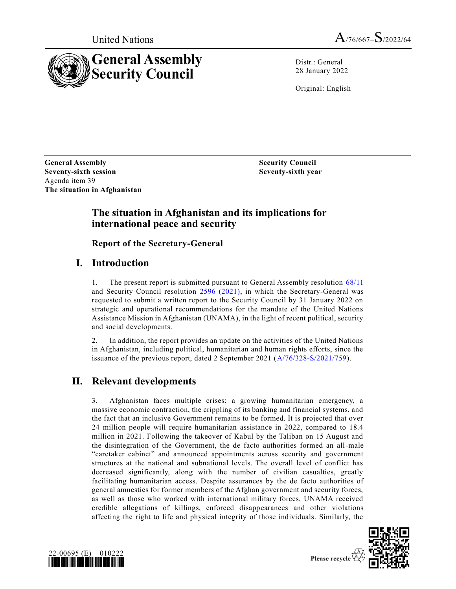



Distr.: General 28 January 2022

Original: English

**General Assembly Security Council Seventy-sixth session** Agenda item 39 **The situation in Afghanistan**

**Seventy-sixth year**

### **The situation in Afghanistan and its implications for international peace and security**

**Report of the Secretary-General**

# **I. Introduction**

1. The present report is submitted pursuant to General Assembly resolution [68/11](https://undocs.org/en/A/RES/68/11) and Security Council resolution [2596 \(2021\),](https://undocs.org/en/S/RES/2596(2021)) in which the Secretary-General was requested to submit a written report to the Security Council by 31 January 2022 on strategic and operational recommendations for the mandate of the United Nations Assistance Mission in Afghanistan (UNAMA), in the light of recent political, security and social developments.

2. In addition, the report provides an update on the activities of the United Nations in Afghanistan, including political, humanitarian and human rights efforts, since the issuance of the previous report, dated 2 September 2021 [\(A/76/328-S/2021/759\)](https://undocs.org/en/A/76/328).

# **II. Relevant developments**

3. Afghanistan faces multiple crises: a growing humanitarian emergency, a massive economic contraction, the crippling of its banking and financial systems, and the fact that an inclusive Government remains to be formed. It is projected that over 24 million people will require humanitarian assistance in 2022, compared to 18.4 million in 2021. Following the takeover of Kabul by the Taliban on 15 August and the disintegration of the Government, the de facto authorities formed an all-male "caretaker cabinet" and announced appointments across security and government structures at the national and subnational levels. The overall level of conflict has decreased significantly, along with the number of civilian casualties, greatly facilitating humanitarian access. Despite assurances by the de facto authorities of general amnesties for former members of the Afghan government and security forces, as well as those who worked with international military forces, UNAMA received credible allegations of killings, enforced disappearances and other violations affecting the right to life and physical integrity of those individuals. Similarly, the



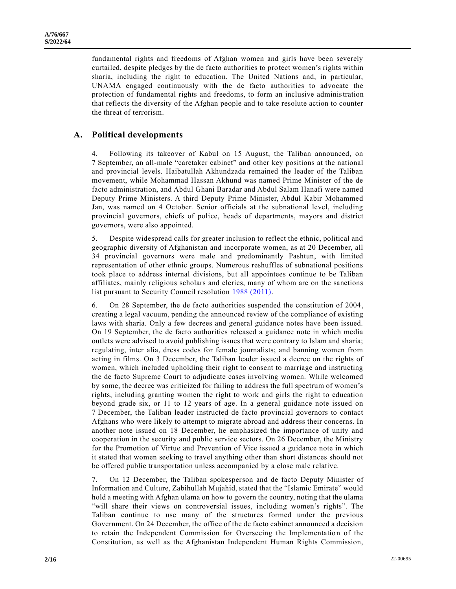fundamental rights and freedoms of Afghan women and girls have been severely curtailed, despite pledges by the de facto authorities to protect women's rights within sharia, including the right to education. The United Nations and, in particular, UNAMA engaged continuously with the de facto authorities to advocate the protection of fundamental rights and freedoms, to form an inclusive administration that reflects the diversity of the Afghan people and to take resolute action to counter the threat of terrorism.

#### **A. Political developments**

4. Following its takeover of Kabul on 15 August, the Taliban announced, on 7 September, an all-male "caretaker cabinet" and other key positions at the national and provincial levels. Haibatullah Akhundzada remained the leader of the Taliban movement, while Mohammad Hassan Akhund was named Prime Minister of the de facto administration, and Abdul Ghani Baradar and Abdul Salam Hanafi were named Deputy Prime Ministers. A third Deputy Prime Minister, Abdul Kabir Mohammed Jan, was named on 4 October. Senior officials at the subnational level, including provincial governors, chiefs of police, heads of departments, mayors and district governors, were also appointed.

5. Despite widespread calls for greater inclusion to reflect the ethnic, political and geographic diversity of Afghanistan and incorporate women, as at 20 December, all 34 provincial governors were male and predominantly Pashtun, with limited representation of other ethnic groups. Numerous reshuffles of subnational positions took place to address internal divisions, but all appointees continue to be Taliban affiliates, mainly religious scholars and clerics, many of whom are on the sanctions list pursuant to Security Council resolution [1988 \(2011\).](https://undocs.org/en/S/RES/1988(2011))

6. On 28 September, the de facto authorities suspended the constitution of 2004, creating a legal vacuum, pending the announced review of the compliance of existing laws with sharia. Only a few decrees and general guidance notes have been issued. On 19 September, the de facto authorities released a guidance note in which media outlets were advised to avoid publishing issues that were contrary to Islam and sharia; regulating, inter alia, dress codes for female journalists; and banning women from acting in films. On 3 December, the Taliban leader issued a decree on the rights of women, which included upholding their right to consent to marriage and instructing the de facto Supreme Court to adjudicate cases involving women. While welcomed by some, the decree was criticized for failing to address the full spectrum of women's rights, including granting women the right to work and girls the right to education beyond grade six, or 11 to 12 years of age. In a general guidance note issued on 7 December, the Taliban leader instructed de facto provincial governors to contact Afghans who were likely to attempt to migrate abroad and address their concerns. In another note issued on 18 December, he emphasized the importance of unity and cooperation in the security and public service sectors. On 26 December, the Ministry for the Promotion of Virtue and Prevention of Vice issued a guidance note in which it stated that women seeking to travel anything other than short distances should not be offered public transportation unless accompanied by a close male relative.

7. On 12 December, the Taliban spokesperson and de facto Deputy Minister of Information and Culture, Zabihullah Mujahid, stated that the "Islamic Emirate" would hold a meeting with Afghan ulama on how to govern the country, noting that the ulama "will share their views on controversial issues, including women's rights". The Taliban continue to use many of the structures formed under the previous Government. On 24 December, the office of the de facto cabinet announced a decision to retain the Independent Commission for Overseeing the Implementation of the Constitution, as well as the Afghanistan Independent Human Rights Commission,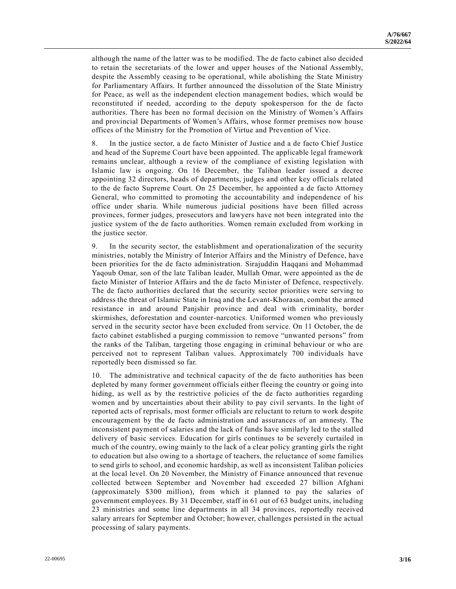although the name of the latter was to be modified. The de facto cabinet also decided to retain the secretariats of the lower and upper houses of the National Assembly, despite the Assembly ceasing to be operational, while abolishing the State Ministry for Parliamentary Affairs. It further announced the dissolution of the State Ministry for Peace, as well as the independent election management bodies, which would be reconstituted if needed, according to the deputy spokesperson for the de facto authorities. There has been no formal decision on the Ministry of Women's Affairs and provincial Departments of Women's Affairs, whose former premises now house offices of the Ministry for the Promotion of Virtue and Prevention of Vice.

8. In the justice sector, a de facto Minister of Justice and a de facto Chief Justice and head of the Supreme Court have been appointed. The applicable legal framework remains unclear, although a review of the compliance of existing legislation with Islamic law is ongoing. On 16 December, the Taliban leader issued a decree appointing 32 directors, heads of departments, judges and other key officials related to the de facto Supreme Court. On 25 December, he appointed a de facto Attorney General, who committed to promoting the accountability and independence of his office under sharia. While numerous judicial positions have been filled across provinces, former judges, prosecutors and lawyers have not been integrated into the justice system of the de facto authorities. Women remain excluded from working in the justice sector.

9. In the security sector, the establishment and operationalization of the security ministries, notably the Ministry of Interior Affairs and the Ministry of Defence, have been priorities for the de facto administration. Sirajuddin Haqqani and Mohammad Yaqoub Omar, son of the late Taliban leader, Mullah Omar, were appointed as the de facto Minister of Interior Affairs and the de facto Minister of Defence, respectively. The de facto authorities declared that the security sector priorities were serving to address the threat of Islamic State in Iraq and the Levant-Khorasan, combat the armed resistance in and around Panjshir province and deal with criminality, border skirmishes, deforestation and counter-narcotics. Uniformed women who previously served in the security sector have been excluded from service. On 11 October, the de facto cabinet established a purging commission to remove "unwanted persons" from the ranks of the Taliban, targeting those engaging in criminal behaviour or who are perceived not to represent Taliban values. Approximately 700 individuals have reportedly been dismissed so far.

10. The administrative and technical capacity of the de facto authorities has been depleted by many former government officials either fleeing the country or going into hiding, as well as by the restrictive policies of the de facto authorities regarding women and by uncertainties about their ability to pay civil servants. In the light of reported acts of reprisals, most former officials are reluctant to return to work despite encouragement by the de facto administration and assurances of an amnesty. The inconsistent payment of salaries and the lack of funds have similarly led to the stalled delivery of basic services. Education for girls continues to be severely curtailed in much of the country, owing mainly to the lack of a clear policy granting girls the right to education but also owing to a shortage of teachers, the reluctance of some families to send girls to school, and economic hardship, as well as inconsistent Taliban policies at the local level. On 20 November, the Ministry of Finance announced that revenue collected between September and November had exceeded 27 billion Afghani (approximately \$300 million), from which it planned to pay the salaries of government employees. By 31 December, staff in 61 out of 63 budget units, including 23 ministries and some line departments in all 34 provinces, reportedly received salary arrears for September and October; however, challenges persisted in the actual processing of salary payments.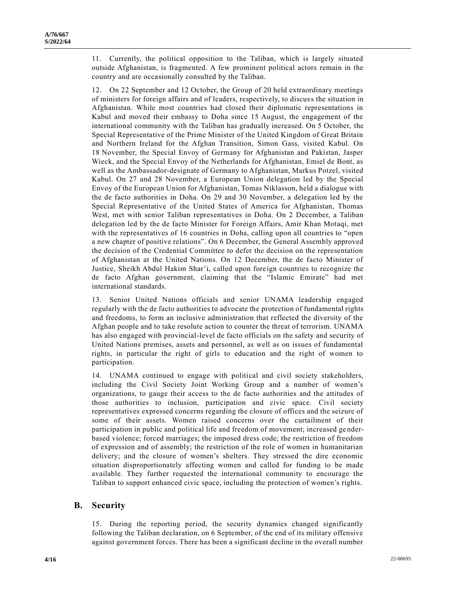11. Currently, the political opposition to the Taliban, which is largely situated outside Afghanistan, is fragmented. A few prominent political actors remain in the country and are occasionally consulted by the Taliban.

12. On 22 September and 12 October, the Group of 20 held extraordinary meetings of ministers for foreign affairs and of leaders, respectively, to discuss the situation in Afghanistan. While most countries had closed their diplomatic representations in Kabul and moved their embassy to Doha since 15 August, the engagement of the international community with the Taliban has gradually increased. On 5 October, the Special Representative of the Prime Minister of the United Kingdom of Great Britain and Northern Ireland for the Afghan Transition, Simon Gass, visited Kabul. On 18 November, the Special Envoy of Germany for Afghanistan and Pakistan, Jasper Wieck, and the Special Envoy of the Netherlands for Afghanistan, Emiel de Bont, as well as the Ambassador-designate of Germany to Afghanistan, Markus Potzel, visited Kabul. On 27 and 28 November, a European Union delegation led by the Special Envoy of the European Union for Afghanistan, Tomas Niklasson, held a dialogue with the de facto authorities in Doha. On 29 and 30 November, a delegation led by the Special Representative of the United States of America for Afghanistan, Thomas West, met with senior Taliban representatives in Doha. On 2 December, a Taliban delegation led by the de facto Minister for Foreign Affairs, Amir Khan Motaqi, met with the representatives of 16 countries in Doha, calling upon all countries to "open a new chapter of positive relations". On 6 December, the General Assembly approved the decision of the Credential Committee to defer the decision on the representation of Afghanistan at the United Nations. On 12 December, the de facto Minister of Justice, Sheikh Abdul Hakim Shar'i, called upon foreign countries to recognize the de facto Afghan government, claiming that the "Islamic Emirate" had met international standards.

13. Senior United Nations officials and senior UNAMA leadership engaged regularly with the de facto authorities to advocate the protection of fundamental rights and freedoms, to form an inclusive administration that reflected the diversity of the Afghan people and to take resolute action to counter the threat of terrorism. UNAMA has also engaged with provincial-level de facto officials on the safety and security of United Nations premises, assets and personnel, as well as on issues of fundamental rights, in particular the right of girls to education and the right of women to participation.

14. UNAMA continued to engage with political and civil society stakeholders, including the Civil Society Joint Working Group and a number of women's organizations, to gauge their access to the de facto authorities and the attitudes of those authorities to inclusion, participation and civic space. Civil society representatives expressed concerns regarding the closure of offices and the seizure of some of their assets. Women raised concerns over the curtailment of their participation in public and political life and freedom of movement; increased ge nderbased violence; forced marriages; the imposed dress code; the restriction of freedom of expression and of assembly; the restriction of the role of women in humanitarian delivery; and the closure of women's shelters. They stressed the dire economic situation disproportionately affecting women and called for funding to be made available. They further requested the international community to encourage the Taliban to support enhanced civic space, including the protection of women's rights.

#### **B. Security**

15. During the reporting period, the security dynamics changed significantly following the Taliban declaration, on 6 September, of the end of its military offensive against government forces. There has been a significant decline in the overall number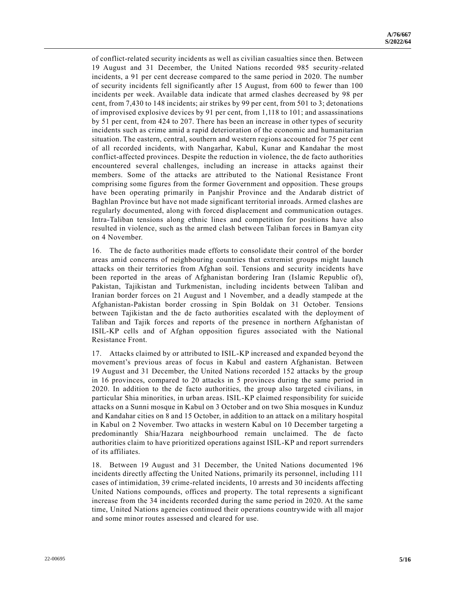of conflict-related security incidents as well as civilian casualties since then. Between 19 August and 31 December, the United Nations recorded 985 security-related incidents, a 91 per cent decrease compared to the same period in 2020. The number of security incidents fell significantly after 15 August, from 600 to fewer than 100 incidents per week. Available data indicate that armed clashes decreased by 98 per cent, from 7,430 to 148 incidents; air strikes by 99 per cent, from 501 to 3; detonations of improvised explosive devices by 91 per cent, from 1,118 to 101; and assassinations by 51 per cent, from 424 to 207. There has been an increase in other types of security incidents such as crime amid a rapid deterioration of the economic and humanitarian situation. The eastern, central, southern and western regions accounted for 75 per cent of all recorded incidents, with Nangarhar, Kabul, Kunar and Kandahar the most conflict-affected provinces. Despite the reduction in violence, the de facto authorities encountered several challenges, including an increase in attacks against their members. Some of the attacks are attributed to the National Resistance Front comprising some figures from the former Government and opposition. These groups have been operating primarily in Panjshir Province and the Andarab district of Baghlan Province but have not made significant territorial inroads. Armed clashes are regularly documented, along with forced displacement and communication outages. Intra-Taliban tensions along ethnic lines and competition for positions have also resulted in violence, such as the armed clash between Taliban forces in Bamyan city on 4 November.

16. The de facto authorities made efforts to consolidate their control of the border areas amid concerns of neighbouring countries that extremist groups might launch attacks on their territories from Afghan soil. Tensions and security incidents have been reported in the areas of Afghanistan bordering Iran (Islamic Republic of), Pakistan, Tajikistan and Turkmenistan, including incidents between Taliban and Iranian border forces on 21 August and 1 November, and a deadly stampede at the Afghanistan-Pakistan border crossing in Spin Boldak on 31 October. Tensions between Tajikistan and the de facto authorities escalated with the deployment of Taliban and Tajik forces and reports of the presence in northern Afghanistan of ISIL-KP cells and of Afghan opposition figures associated with the National Resistance Front.

17. Attacks claimed by or attributed to ISIL-KP increased and expanded beyond the movement's previous areas of focus in Kabul and eastern Afghanistan. Between 19 August and 31 December, the United Nations recorded 152 attacks by the group in 16 provinces, compared to 20 attacks in 5 provinces during the same period in 2020. In addition to the de facto authorities, the group also targeted civilians, in particular Shia minorities, in urban areas. ISIL-KP claimed responsibility for suicide attacks on a Sunni mosque in Kabul on 3 October and on two Shia mosques in Kunduz and Kandahar cities on 8 and 15 October, in addition to an attack on a military hospital in Kabul on 2 November. Two attacks in western Kabul on 10 December targeting a predominantly Shia/Hazara neighbourhood remain unclaimed. The de facto authorities claim to have prioritized operations against ISIL-KP and report surrenders of its affiliates.

18. Between 19 August and 31 December, the United Nations documented 196 incidents directly affecting the United Nations, primarily its personnel, including 111 cases of intimidation, 39 crime-related incidents, 10 arrests and 30 incidents affecting United Nations compounds, offices and property. The total represents a significant increase from the 34 incidents recorded during the same period in 2020. At the same time, United Nations agencies continued their operations countrywide with all major and some minor routes assessed and cleared for use.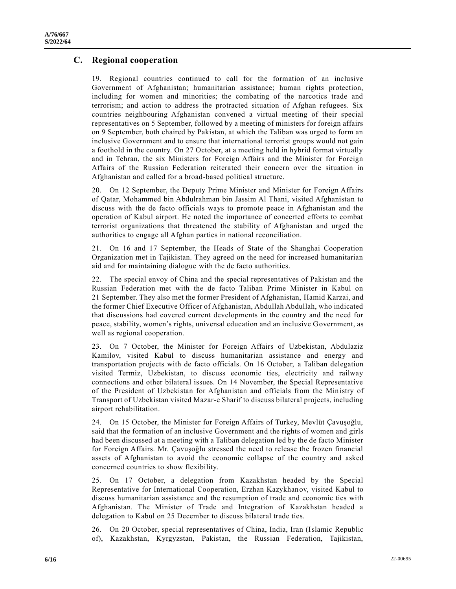#### **C. Regional cooperation**

19. Regional countries continued to call for the formation of an inclusive Government of Afghanistan; humanitarian assistance; human rights protection, including for women and minorities; the combating of the narcotics trade and terrorism; and action to address the protracted situation of Afghan refugees. Six countries neighbouring Afghanistan convened a virtual meeting of their special representatives on 5 September, followed by a meeting of ministers for foreign affairs on 9 September, both chaired by Pakistan, at which the Taliban was urged to form an inclusive Government and to ensure that international terrorist groups would not gain a foothold in the country. On 27 October, at a meeting held in hybrid format virtually and in Tehran, the six Ministers for Foreign Affairs and the Minister for Foreign Affairs of the Russian Federation reiterated their concern over the situation in Afghanistan and called for a broad-based political structure.

20. On 12 September, the Deputy Prime Minister and Minister for Foreign Affairs of Qatar, Mohammed bin Abdulrahman bin Jassim Al Thani, visited Afghanistan to discuss with the de facto officials ways to promote peace in Afghanistan and the operation of Kabul airport. He noted the importance of concerted efforts to combat terrorist organizations that threatened the stability of Afghanistan and urged the authorities to engage all Afghan parties in national reconciliation.

21. On 16 and 17 September, the Heads of State of the Shanghai Cooperation Organization met in Tajikistan. They agreed on the need for increased humanitarian aid and for maintaining dialogue with the de facto authorities.

22. The special envoy of China and the special representatives of Pakistan and the Russian Federation met with the de facto Taliban Prime Minister in Kabul on 21 September. They also met the former President of Afghanistan, Hamid Karzai, and the former Chief Executive Officer of Afghanistan, Abdullah Abdullah, who indicated that discussions had covered current developments in the country and the need for peace, stability, women's rights, universal education and an inclusive Government, as well as regional cooperation.

23. On 7 October, the Minister for Foreign Affairs of Uzbekistan, Abdulaziz Kamilov, visited Kabul to discuss humanitarian assistance and energy and transportation projects with de facto officials. On 16 October, a Taliban delegation visited Termiz, Uzbekistan, to discuss economic ties, electricity and railway connections and other bilateral issues. On 14 November, the Special Representative of the President of Uzbekistan for Afghanistan and officials from the Min istry of Transport of Uzbekistan visited Mazar-e Sharif to discuss bilateral projects, including airport rehabilitation.

24. On 15 October, the Minister for Foreign Affairs of Turkey, Mevlüt Çavuşoğlu, said that the formation of an inclusive Government and the rights of women and girls had been discussed at a meeting with a Taliban delegation led by the de facto Minister for Foreign Affairs. Mr. Çavuşoğlu stressed the need to release the frozen financial assets of Afghanistan to avoid the economic collapse of the country and asked concerned countries to show flexibility.

25. On 17 October, a delegation from Kazakhstan headed by the Special Representative for International Cooperation, Erzhan Kazykhanov, visited Kabul to discuss humanitarian assistance and the resumption of trade and economic ties with Afghanistan. The Minister of Trade and Integration of Kazakhstan headed a delegation to Kabul on 25 December to discuss bilateral trade ties.

26. On 20 October, special representatives of China, India, Iran (Islamic Republic of), Kazakhstan, Kyrgyzstan, Pakistan, the Russian Federation, Tajikistan,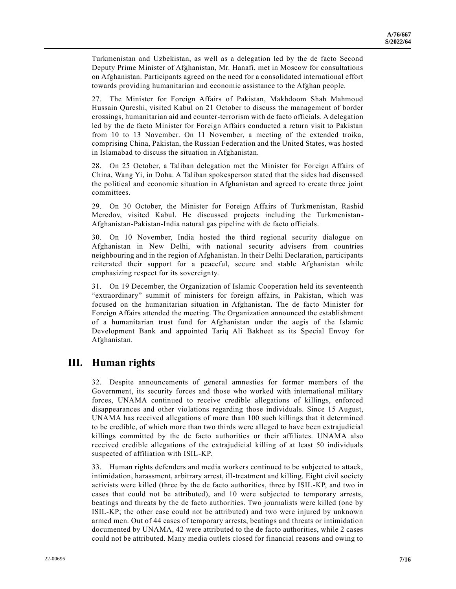Turkmenistan and Uzbekistan, as well as a delegation led by the de facto Second Deputy Prime Minister of Afghanistan, Mr. Hanafi, met in Moscow for consultations on Afghanistan. Participants agreed on the need for a consolidated international effort towards providing humanitarian and economic assistance to the Afghan people.

27. The Minister for Foreign Affairs of Pakistan, Makhdoom Shah Mahmoud Hussain Qureshi, visited Kabul on 21 October to discuss the management of border crossings, humanitarian aid and counter-terrorism with de facto officials. A delegation led by the de facto Minister for Foreign Affairs conducted a return visit to Pakistan from 10 to 13 November. On 11 November, a meeting of the extended troika, comprising China, Pakistan, the Russian Federation and the United States, was hosted in Islamabad to discuss the situation in Afghanistan.

28. On 25 October, a Taliban delegation met the Minister for Foreign Affairs of China, Wang Yi, in Doha. A Taliban spokesperson stated that the sides had discussed the political and economic situation in Afghanistan and agreed to create three joint committees.

29. On 30 October, the Minister for Foreign Affairs of Turkmenistan, Rashid Meredov, visited Kabul. He discussed projects including the Turkmenistan - Afghanistan-Pakistan-India natural gas pipeline with de facto officials.

30. On 10 November, India hosted the third regional security dialogue on Afghanistan in New Delhi, with national security advisers from countries neighbouring and in the region of Afghanistan. In their Delhi Declaration, participants reiterated their support for a peaceful, secure and stable Afghanistan while emphasizing respect for its sovereignty.

31. On 19 December, the Organization of Islamic Cooperation held its seventeenth "extraordinary" summit of ministers for foreign affairs, in Pakistan, which was focused on the humanitarian situation in Afghanistan. The de facto Minister for Foreign Affairs attended the meeting. The Organization announced the establishment of a humanitarian trust fund for Afghanistan under the aegis of the Islamic Development Bank and appointed Tariq Ali Bakheet as its Special Envoy for Afghanistan.

# **III. Human rights**

32. Despite announcements of general amnesties for former members of the Government, its security forces and those who worked with international military forces, UNAMA continued to receive credible allegations of killings, enforced disappearances and other violations regarding those individuals. Since 15 August, UNAMA has received allegations of more than 100 such killings that it determined to be credible, of which more than two thirds were alleged to have been extrajudicial killings committed by the de facto authorities or their affiliates. UNAMA also received credible allegations of the extrajudicial killing of at least 50 individuals suspected of affiliation with ISIL-KP.

33. Human rights defenders and media workers continued to be subjected to attack, intimidation, harassment, arbitrary arrest, ill-treatment and killing. Eight civil society activists were killed (three by the de facto authorities, three by ISIL-KP, and two in cases that could not be attributed), and 10 were subjected to temporary arrests, beatings and threats by the de facto authorities. Two journalists were killed (one by ISIL-KP; the other case could not be attributed) and two were injured by unknown armed men. Out of 44 cases of temporary arrests, beatings and threats or intimidation documented by UNAMA, 42 were attributed to the de facto authorities, while 2 cases could not be attributed. Many media outlets closed for financial reasons and owing to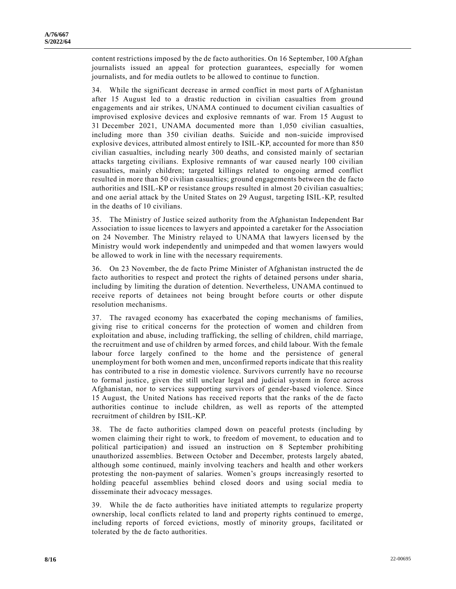content restrictions imposed by the de facto authorities. On 16 September, 100 Afghan journalists issued an appeal for protection guarantees, especially for women journalists, and for media outlets to be allowed to continue to function.

34. While the significant decrease in armed conflict in most parts of Afghanistan after 15 August led to a drastic reduction in civilian casualties from ground engagements and air strikes, UNAMA continued to document civilian casualties of improvised explosive devices and explosive remnants of war. From 15 August to 31 December 2021, UNAMA documented more than 1,050 civilian casualties, including more than 350 civilian deaths. Suicide and non-suicide improvised explosive devices, attributed almost entirely to ISIL-KP, accounted for more than 850 civilian casualties, including nearly 300 deaths, and consisted mainly of sectarian attacks targeting civilians. Explosive remnants of war caused nearly 100 civilian casualties, mainly children; targeted killings related to ongoing armed conflict resulted in more than 50 civilian casualties; ground engagements between the de facto authorities and ISIL-KP or resistance groups resulted in almost 20 civilian casualties; and one aerial attack by the United States on 29 August, targeting ISIL-KP, resulted in the deaths of 10 civilians.

35. The Ministry of Justice seized authority from the Afghanistan Independent Bar Association to issue licences to lawyers and appointed a caretaker for the Association on 24 November. The Ministry relayed to UNAMA that lawyers licensed by the Ministry would work independently and unimpeded and that women lawyers would be allowed to work in line with the necessary requirements.

36. On 23 November, the de facto Prime Minister of Afghanistan instructed the de facto authorities to respect and protect the rights of detained persons under sharia, including by limiting the duration of detention. Nevertheless, UNAMA continued to receive reports of detainees not being brought before courts or other dispute resolution mechanisms.

37. The ravaged economy has exacerbated the coping mechanisms of families, giving rise to critical concerns for the protection of women and children from exploitation and abuse, including trafficking, the selling of children, child marriage, the recruitment and use of children by armed forces, and child labour. With the female labour force largely confined to the home and the persistence of general unemployment for both women and men, unconfirmed reports indicate that this reality has contributed to a rise in domestic violence. Survivors currently have no recourse to formal justice, given the still unclear legal and judicial system in force across Afghanistan, nor to services supporting survivors of gender-based violence. Since 15 August, the United Nations has received reports that the ranks of the de facto authorities continue to include children, as well as reports of the attempted recruitment of children by ISIL-KP.

38. The de facto authorities clamped down on peaceful protests (including by women claiming their right to work, to freedom of movement, to education and to political participation) and issued an instruction on 8 September prohibiting unauthorized assemblies. Between October and December, protests largely abated, although some continued, mainly involving teachers and health and other workers protesting the non-payment of salaries. Women's groups increasingly resorted to holding peaceful assemblies behind closed doors and using social media to disseminate their advocacy messages.

39. While the de facto authorities have initiated attempts to regularize property ownership, local conflicts related to land and property rights continued to emerge, including reports of forced evictions, mostly of minority groups, facilitated or tolerated by the de facto authorities.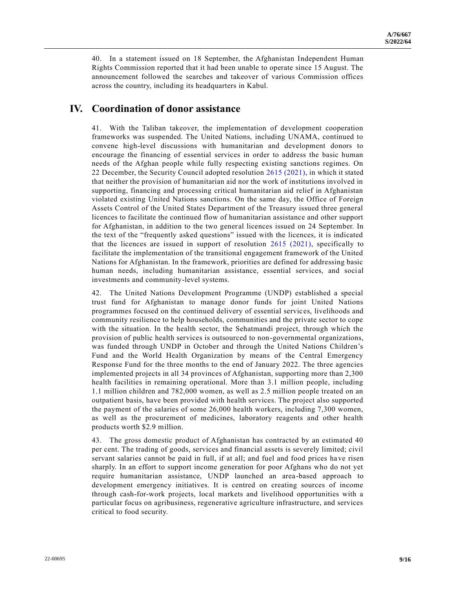40. In a statement issued on 18 September, the Afghanistan Independent Human Rights Commission reported that it had been unable to operate since 15 August. The announcement followed the searches and takeover of various Commission offices across the country, including its headquarters in Kabul.

#### **IV. Coordination of donor assistance**

41. With the Taliban takeover, the implementation of development cooperation frameworks was suspended. The United Nations, including UNAMA, continued to convene high-level discussions with humanitarian and development donors to encourage the financing of essential services in order to address the basic human needs of the Afghan people while fully respecting existing sanctions regimes. On 22 December, the Security Council adopted resolution [2615 \(2021\),](https://undocs.org/en/S/RES/2615(2021)) in which it stated that neither the provision of humanitarian aid nor the work of institutions involved in supporting, financing and processing critical humanitarian aid relief in Afghanistan violated existing United Nations sanctions. On the same day, the Office of Foreign Assets Control of the United States Department of the Treasury issued three general licences to facilitate the continued flow of humanitarian assistance and other support for Afghanistan, in addition to the two general licences issued on 24 September. In the text of the "frequently asked questions" issued with the licences, it is indicated that the licences are issued in support of resolution [2615 \(2021\),](https://undocs.org/en/S/RES/2615(2021)) specifically to facilitate the implementation of the transitional engagement framework of the United Nations for Afghanistan. In the framework, priorities are defined for addressing basic human needs, including humanitarian assistance, essential services, and social investments and community-level systems.

42. The United Nations Development Programme (UNDP) established a special trust fund for Afghanistan to manage donor funds for joint United Nations programmes focused on the continued delivery of essential servic es, livelihoods and community resilience to help households, communities and the private sector to cope with the situation. In the health sector, the Sehatmandi project, through which the provision of public health services is outsourced to non-governmental organizations, was funded through UNDP in October and through the United Nations Children's Fund and the World Health Organization by means of the Central Emergency Response Fund for the three months to the end of January 2022. The three agencies implemented projects in all 34 provinces of Afghanistan, supporting more than 2,300 health facilities in remaining operational. More than 3.1 million people, including 1.1 million children and 782,000 women, as well as 2.5 million people treated on an outpatient basis, have been provided with health services. The project also supported the payment of the salaries of some 26,000 health workers, including 7,300 women, as well as the procurement of medicines, laboratory reagents and other health products worth \$2.9 million.

43. The gross domestic product of Afghanistan has contracted by an estimated 40 per cent. The trading of goods, services and financial assets is severely limited; civil servant salaries cannot be paid in full, if at all; and fuel and food prices have risen sharply. In an effort to support income generation for poor Afghans who do not yet require humanitarian assistance, UNDP launched an area-based approach to development emergency initiatives. It is centred on creating sources of income through cash-for-work projects, local markets and livelihood opportunities with a particular focus on agribusiness, regenerative agriculture infrastructure, and services critical to food security.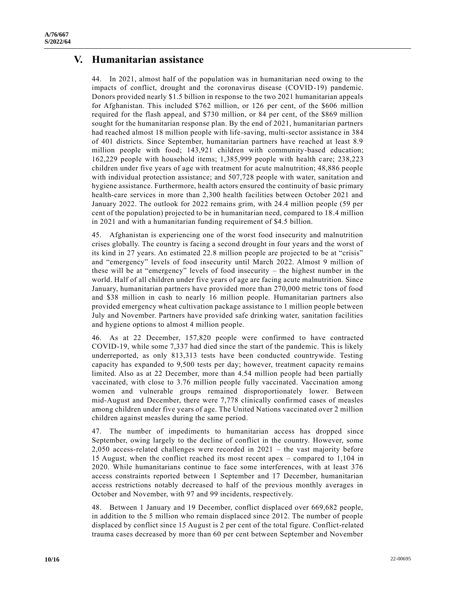### **V. Humanitarian assistance**

44. In 2021, almost half of the population was in humanitarian need owing to the impacts of conflict, drought and the coronavirus disease (COVID-19) pandemic. Donors provided nearly \$1.5 billion in response to the two 2021 humanitarian appeals for Afghanistan. This included \$762 million, or 126 per cent, of the \$606 million required for the flash appeal, and \$730 million, or 84 per cent, of the \$869 million sought for the humanitarian response plan. By the end of 2021, humanitarian partners had reached almost 18 million people with life-saving, multi-sector assistance in 384 of 401 districts. Since September, humanitarian partners have reached at least 8.9 million people with food; 143,921 children with community-based education; 162,229 people with household items; 1,385,999 people with health c are; 238,223 children under five years of age with treatment for acute malnutrition; 48,886 people with individual protection assistance; and 507,728 people with water, sanitation and hygiene assistance. Furthermore, health actors ensured the continuity of basic primary health-care services in more than 2,300 health facilities between October 2021 and January 2022. The outlook for 2022 remains grim, with 24.4 million people (59 per cent of the population) projected to be in humanitarian need, compared to 18.4 million in 2021 and with a humanitarian funding requirement of \$4.5 billion.

45. Afghanistan is experiencing one of the worst food insecurity and malnutrition crises globally. The country is facing a second drought in four years and the worst of its kind in 27 years. An estimated 22.8 million people are projected to be at "crisis" and "emergency" levels of food insecurity until March 2022. Almost 9 million of these will be at "emergency" levels of food insecurity – the highest number in the world. Half of all children under five years of age are facing acute malnutrition. Since January, humanitarian partners have provided more than 270,000 metric tons of food and \$38 million in cash to nearly 16 million people. Humanitarian partners also provided emergency wheat cultivation package assistance to 1 million people between July and November. Partners have provided safe drinking water, sanitation facilities and hygiene options to almost 4 million people.

46. As at 22 December, 157,820 people were confirmed to have contracted COVID-19, while some 7,337 had died since the start of the pandemic. This is likely underreported, as only 813,313 tests have been conducted countrywide. Testing capacity has expanded to 9,500 tests per day; however, treatment capacity remains limited. Also as at 22 December, more than 4.54 million people had been partially vaccinated, with close to 3.76 million people fully vaccinated. Vaccination among women and vulnerable groups remained disproportionately lower. Between mid-August and December, there were 7,778 clinically confirmed cases of measles among children under five years of age. The United Nations vaccinated over 2 million children against measles during the same period.

47. The number of impediments to humanitarian access has dropped since September, owing largely to the decline of conflict in the country. However, some 2,050 access-related challenges were recorded in 2021 – the vast majority before 15 August, when the conflict reached its most recent apex – compared to 1,104 in 2020. While humanitarians continue to face some interferences, with at least 376 access constraints reported between 1 September and 17 December, humanitarian access restrictions notably decreased to half of the previous monthly averages in October and November, with 97 and 99 incidents, respectively.

48. Between 1 January and 19 December, conflict displaced over 669,682 people, in addition to the 5 million who remain displaced since 2012. The number of people displaced by conflict since 15 August is 2 per cent of the total figure. Conflict-related trauma cases decreased by more than 60 per cent between September and November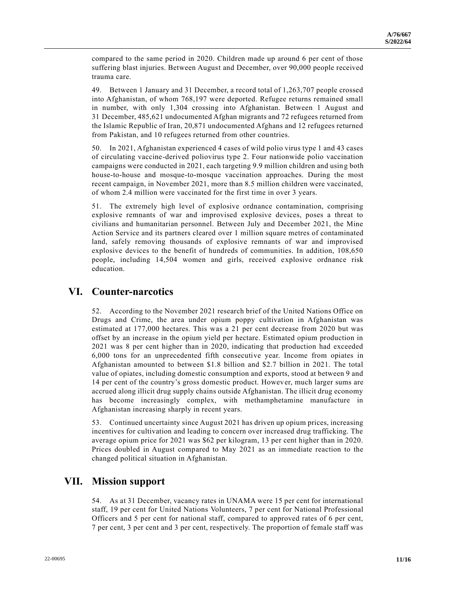compared to the same period in 2020. Children made up around 6 per cent of those suffering blast injuries. Between August and December, over 90,000 people received trauma care.

49. Between 1 January and 31 December, a record total of 1,263,707 people crossed into Afghanistan, of whom 768,197 were deported. Refugee returns remained small in number, with only 1,304 crossing into Afghanistan. Between 1 August and 31 December, 485,621 undocumented Afghan migrants and 72 refugees returned from the Islamic Republic of Iran, 20,871 undocumented Afghans and 12 refugees returned from Pakistan, and 10 refugees returned from other countries.

50. In 2021, Afghanistan experienced 4 cases of wild polio virus type 1 and 43 cases of circulating vaccine-derived poliovirus type 2. Four nationwide polio vaccination campaigns were conducted in 2021, each targeting 9.9 million children and using both house-to-house and mosque-to-mosque vaccination approaches. During the most recent campaign, in November 2021, more than 8.5 million children were vaccinated, of whom 2.4 million were vaccinated for the first time in over 3 years.

51. The extremely high level of explosive ordnance contamination, comprising explosive remnants of war and improvised explosive devices, poses a threat to civilians and humanitarian personnel. Between July and December 2021, the Mine Action Service and its partners cleared over 1 million square metres of contaminated land, safely removing thousands of explosive remnants of war and improvised explosive devices to the benefit of hundreds of communities. In addition, 108,650 people, including 14,504 women and girls, received explosive ordnance risk education.

# **VI. Counter-narcotics**

52. According to the November 2021 research brief of the United Nations Office on Drugs and Crime, the area under opium poppy cultivation in Afghanistan was estimated at 177,000 hectares. This was a 21 per cent decrease from 2020 but was offset by an increase in the opium yield per hectare. Estimated opium production in 2021 was 8 per cent higher than in 2020, indicating that production had exceeded 6,000 tons for an unprecedented fifth consecutive year. Income from opiates in Afghanistan amounted to between \$1.8 billion and \$2.7 billion in 2021. The total value of opiates, including domestic consumption and exports, stood at between 9 and 14 per cent of the country's gross domestic product. However, much larger sums are accrued along illicit drug supply chains outside Afghanistan. The illicit drug economy has become increasingly complex, with methamphetamine manufacture in Afghanistan increasing sharply in recent years.

53. Continued uncertainty since August 2021 has driven up opium prices, increasing incentives for cultivation and leading to concern over increased drug trafficking. The average opium price for 2021 was \$62 per kilogram, 13 per cent higher than in 2020. Prices doubled in August compared to May 2021 as an immediate reaction to the changed political situation in Afghanistan.

# **VII. Mission support**

54. As at 31 December, vacancy rates in UNAMA were 15 per cent for international staff, 19 per cent for United Nations Volunteers, 7 per cent for National Professional Officers and 5 per cent for national staff, compared to approved rates of 6 per cent, 7 per cent, 3 per cent and 3 per cent, respectively. The proportion of female staff was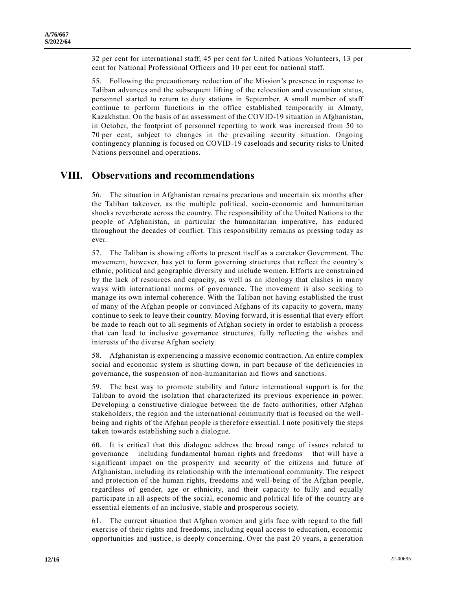32 per cent for international staff, 45 per cent for United Nations Volunteers, 13 per cent for National Professional Officers and 10 per cent for national staff.

55. Following the precautionary reduction of the Mission's presence in response to Taliban advances and the subsequent lifting of the relocation and evacuation status, personnel started to return to duty stations in September. A small number of staff continue to perform functions in the office established temporarily in Almaty, Kazakhstan. On the basis of an assessment of the COVID-19 situation in Afghanistan, in October, the footprint of personnel reporting to work was increased from 50 to 70 per cent, subject to changes in the prevailing security situation. Ongoing contingency planning is focused on COVID-19 caseloads and security risks to United Nations personnel and operations.

#### **VIII. Observations and recommendations**

56. The situation in Afghanistan remains precarious and uncertain six months after the Taliban takeover, as the multiple political, socio-economic and humanitarian shocks reverberate across the country. The responsibility of the United Nations to the people of Afghanistan, in particular the humanitarian imperative, has endured throughout the decades of conflict. This responsibility remains as pressing today as ever.

57. The Taliban is showing efforts to present itself as a caretaker Government. The movement, however, has yet to form governing structures that reflect the country's ethnic, political and geographic diversity and include women. Efforts are constrain ed by the lack of resources and capacity, as well as an ideology that clashes in many ways with international norms of governance. The movement is also seeking to manage its own internal coherence. With the Taliban not having established the trust of many of the Afghan people or convinced Afghans of its capacity to govern, many continue to seek to leave their country. Moving forward, it is essential that every effort be made to reach out to all segments of Afghan society in order to establish a process that can lead to inclusive governance structures, fully reflecting the wishes and interests of the diverse Afghan society.

58. Afghanistan is experiencing a massive economic contraction. An entire complex social and economic system is shutting down, in part because of the deficiencies in governance, the suspension of non-humanitarian aid flows and sanctions.

59. The best way to promote stability and future international support is for the Taliban to avoid the isolation that characterized its previous experience in power. Developing a constructive dialogue between the de facto authorities, other Afghan stakeholders, the region and the international community that is focused on the wellbeing and rights of the Afghan people is therefore essential. I note positively the steps taken towards establishing such a dialogue.

60. It is critical that this dialogue address the broad range of issues related to governance – including fundamental human rights and freedoms – that will have a significant impact on the prosperity and security of the citizens and future of Afghanistan, including its relationship with the international community. The respect and protection of the human rights, freedoms and well-being of the Afghan people, regardless of gender, age or ethnicity, and their capacity to fully and equally participate in all aspects of the social, economic and political life of the country ar e essential elements of an inclusive, stable and prosperous society.

61. The current situation that Afghan women and girls face with regard to the full exercise of their rights and freedoms, including equal access to education, economic opportunities and justice, is deeply concerning. Over the past 20 years, a generation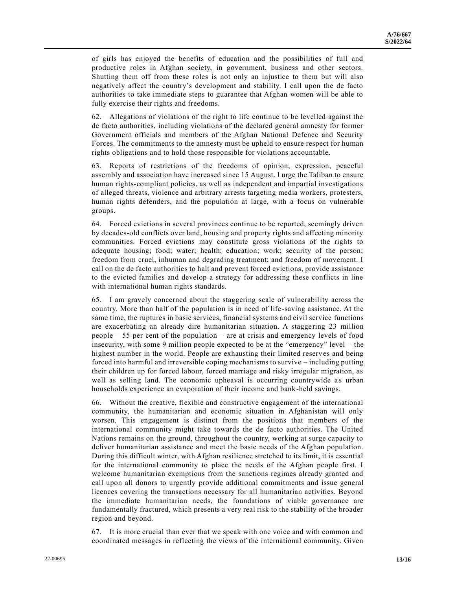of girls has enjoyed the benefits of education and the possibilities of full and productive roles in Afghan society, in government, business and other sectors. Shutting them off from these roles is not only an injustice to them but will also negatively affect the country's development and stability. I call upon the de facto authorities to take immediate steps to guarantee that Afghan women will be able to fully exercise their rights and freedoms.

62. Allegations of violations of the right to life continue to be levelled against the de facto authorities, including violations of the declared general amnesty for former Government officials and members of the Afghan National Defence and Security Forces. The commitments to the amnesty must be upheld to ensure respect for human rights obligations and to hold those responsible for violations accountable.

63. Reports of restrictions of the freedoms of opinion, expression, peaceful assembly and association have increased since 15 August. I urge the Taliban to ensure human rights-compliant policies, as well as independent and impartial investigations of alleged threats, violence and arbitrary arrests targeting media workers, protesters, human rights defenders, and the population at large, with a focus on vulnerable groups.

64. Forced evictions in several provinces continue to be reported, seemingly driven by decades-old conflicts over land, housing and property rights and affecting minority communities. Forced evictions may constitute gross violations of the rights to adequate housing; food; water; health; education; work; security of the person; freedom from cruel, inhuman and degrading treatment; and freedom of movement. I call on the de facto authorities to halt and prevent forced evictions, provide assistance to the evicted families and develop a strategy for addressing these conflicts in line with international human rights standards.

65. I am gravely concerned about the staggering scale of vulnerability across the country. More than half of the population is in need of life-saving assistance. At the same time, the ruptures in basic services, financial systems and civil service functions are exacerbating an already dire humanitarian situation. A staggering 23 million people – 55 per cent of the population – are at crisis and emergency levels of food insecurity, with some 9 million people expected to be at the "emergency" level – the highest number in the world. People are exhausting their limited reserves and being forced into harmful and irreversible coping mechanisms to survive – including putting their children up for forced labour, forced marriage and risky irregular migration, as well as selling land. The economic upheaval is occurring countrywide as urban households experience an evaporation of their income and bank-held savings.

66. Without the creative, flexible and constructive engagement of the international community, the humanitarian and economic situation in Afghanistan will only worsen. This engagement is distinct from the positions that members of the international community might take towards the de facto authorities. The United Nations remains on the ground, throughout the country, working at surge capacity to deliver humanitarian assistance and meet the basic needs of the Afghan population. During this difficult winter, with Afghan resilience stretched to its limit, it is essential for the international community to place the needs of the Afghan people first. I welcome humanitarian exemptions from the sanctions regimes already granted and call upon all donors to urgently provide additional commitments and issue general licences covering the transactions necessary for all humanitarian activities. Beyond the immediate humanitarian needs, the foundations of viable governance are fundamentally fractured, which presents a very real risk to the stability of the broader region and beyond.

67. It is more crucial than ever that we speak with one voice and with common and coordinated messages in reflecting the views of the international community. Given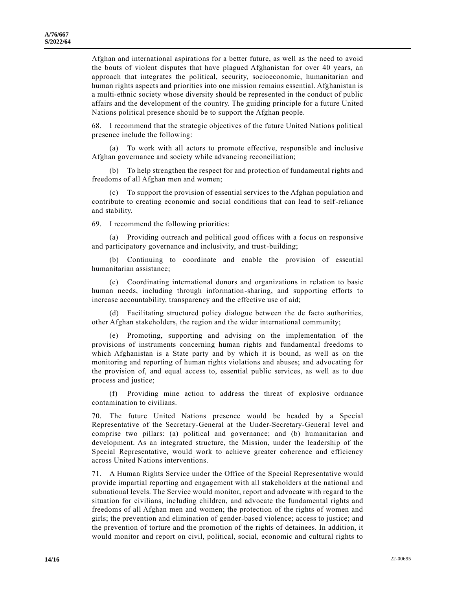Afghan and international aspirations for a better future, as well as the need to avoid the bouts of violent disputes that have plagued Afghanistan for over 40 years, an approach that integrates the political, security, socioeconomic, humanitarian and human rights aspects and priorities into one mission remains essential. Afghanistan is a multi-ethnic society whose diversity should be represented in the conduct of public affairs and the development of the country. The guiding principle for a future United Nations political presence should be to support the Afghan people.

68. I recommend that the strategic objectives of the future United Nations political presence include the following:

(a) To work with all actors to promote effective, responsible and inclusive Afghan governance and society while advancing reconciliation;

(b) To help strengthen the respect for and protection of fundamental rights and freedoms of all Afghan men and women;

(c) To support the provision of essential services to the Afghan population and contribute to creating economic and social conditions that can lead to self-reliance and stability.

69. I recommend the following priorities:

(a) Providing outreach and political good offices with a focus on responsive and participatory governance and inclusivity, and trust-building;

(b) Continuing to coordinate and enable the provision of essential humanitarian assistance;

(c) Coordinating international donors and organizations in relation to basic human needs, including through information-sharing, and supporting efforts to increase accountability, transparency and the effective use of aid;

(d) Facilitating structured policy dialogue between the de facto authorities, other Afghan stakeholders, the region and the wider international community;

(e) Promoting, supporting and advising on the implementation of the provisions of instruments concerning human rights and fundamental freedoms to which Afghanistan is a State party and by which it is bound, as well as on the monitoring and reporting of human rights violations and abuses; and advocating for the provision of, and equal access to, essential public services, as well as to due process and justice;

(f) Providing mine action to address the threat of explosive ordnance contamination to civilians.

70. The future United Nations presence would be headed by a Special Representative of the Secretary-General at the Under-Secretary-General level and comprise two pillars: (a) political and governance; and (b) humanitarian and development. As an integrated structure, the Mission, under the leadership of the Special Representative, would work to achieve greater coherence and efficiency across United Nations interventions.

71. A Human Rights Service under the Office of the Special Representative would provide impartial reporting and engagement with all stakeholders at the national and subnational levels. The Service would monitor, report and advocate with regard to the situation for civilians, including children, and advocate the fundamental rights and freedoms of all Afghan men and women; the protection of the rights of women and girls; the prevention and elimination of gender-based violence; access to justice; and the prevention of torture and the promotion of the rights of detainees. In addition, it would monitor and report on civil, political, social, economic and cultural rights to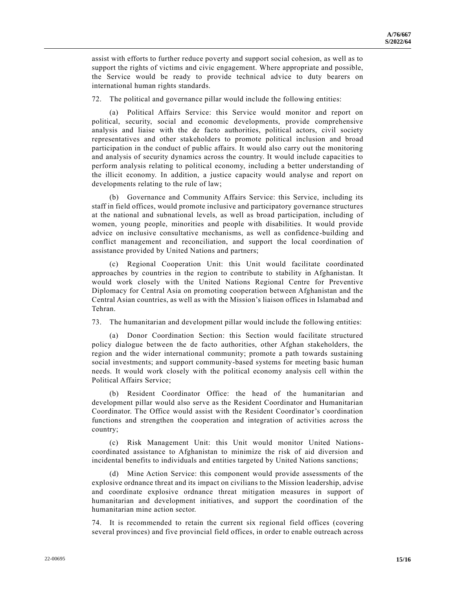assist with efforts to further reduce poverty and support social cohesion, as well as to support the rights of victims and civic engagement. Where appropriate and possible, the Service would be ready to provide technical advice to duty bearers on international human rights standards.

72. The political and governance pillar would include the following entities:

(a) Political Affairs Service: this Service would monitor and report on political, security, social and economic developments, provide comprehensive analysis and liaise with the de facto authorities, political actors, civil society representatives and other stakeholders to promote political inclusion and broad participation in the conduct of public affairs. It would also carry out the monitoring and analysis of security dynamics across the country. It would include capacities to perform analysis relating to political economy, including a better understanding of the illicit economy. In addition, a justice capacity would analyse and report on developments relating to the rule of law;

(b) Governance and Community Affairs Service: this Service, including its staff in field offices, would promote inclusive and participatory governance structures at the national and subnational levels, as well as broad participation, including of women, young people, minorities and people with disabilities. It would provide advice on inclusive consultative mechanisms, as well as confidence-building and conflict management and reconciliation, and support the local coordination of assistance provided by United Nations and partners;

(c) Regional Cooperation Unit: this Unit would facilitate coordinated approaches by countries in the region to contribute to stability in Afghanistan. It would work closely with the United Nations Regional Centre for Preventive Diplomacy for Central Asia on promoting cooperation between Afghanistan and the Central Asian countries, as well as with the Mission's liaison offices in Islamabad and Tehran.

73. The humanitarian and development pillar would include the following entities:

(a) Donor Coordination Section: this Section would facilitate structured policy dialogue between the de facto authorities, other Afghan stakeholders, the region and the wider international community; promote a path towards sustaining social investments; and support community-based systems for meeting basic human needs. It would work closely with the political economy analysis cell within the Political Affairs Service;

(b) Resident Coordinator Office: the head of the humanitarian and development pillar would also serve as the Resident Coordinator and Humanitarian Coordinator. The Office would assist with the Resident Coordinator's coordination functions and strengthen the cooperation and integration of activities across the country;

(c) Risk Management Unit: this Unit would monitor United Nationscoordinated assistance to Afghanistan to minimize the risk of aid diversion and incidental benefits to individuals and entities targeted by United Nations sanctions;

(d) Mine Action Service: this component would provide assessments of the explosive ordnance threat and its impact on civilians to the Mission leadership, advise and coordinate explosive ordnance threat mitigation measures in support of humanitarian and development initiatives, and support the coordination of the humanitarian mine action sector.

74. It is recommended to retain the current six regional field offices (covering several provinces) and five provincial field offices, in order to enable outreach across